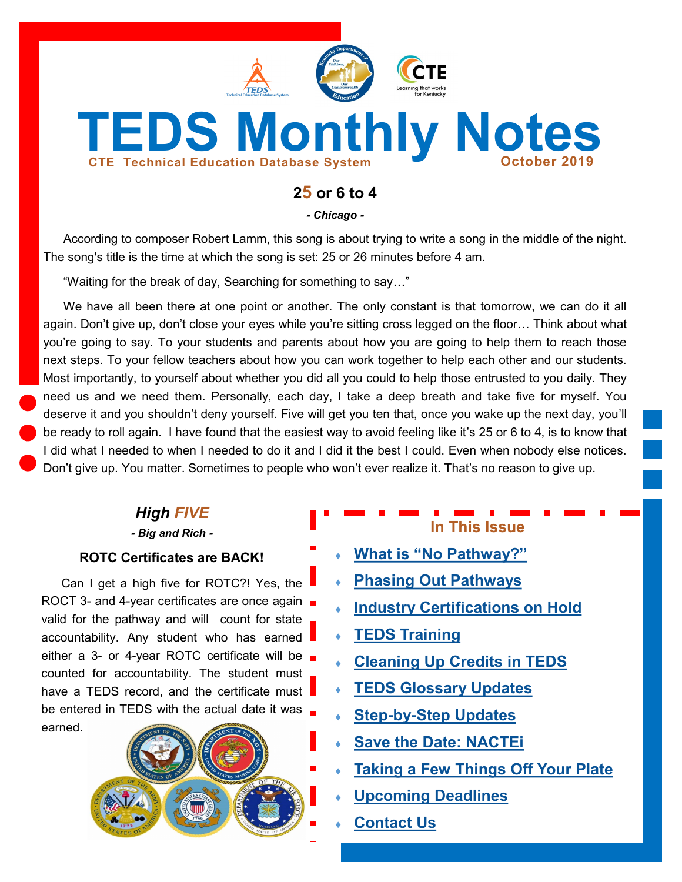

# **25 or 6 to 4**

*- Chicago -*

According to composer Robert Lamm, this song is about trying to write a song in the middle of the night. The song's title is the time at which the song is set: 25 or 26 minutes before 4 am.

"Waiting for the break of day, Searching for something to say…"

We have all been there at one point or another. The only constant is that tomorrow, we can do it all again. Don't give up, don't close your eyes while you're sitting cross legged on the floor… Think about what you're going to say. To your students and parents about how you are going to help them to reach those next steps. To your fellow teachers about how you can work together to help each other and our students. Most importantly, to yourself about whether you did all you could to help those entrusted to you daily. They need us and we need them. Personally, each day, I take a deep breath and take five for myself. You deserve it and you shouldn't deny yourself. Five will get you ten that, once you wake up the next day, you'll be ready to roll again. I have found that the easiest way to avoid feeling like it's 25 or 6 to 4, is to know that I did what I needed to when I needed to do it and I did it the best I could. Even when nobody else notices. Don't give up. You matter. Sometimes to people who won't ever realize it. That's no reason to give up.

## *High FIVE*

*- Big and Rich -*

#### **ROTC Certificates are BACK!**

Can I get a high five for ROTC?! Yes, the ROCT 3- and 4-year certificates are once again valid for the pathway and will count for state accountability. Any student who has earned either a 3- or 4-year ROTC certificate will be counted for accountability. The student must have a TEDS record, and the certificate must be entered in TEDS with the actual date it was earned.



# **In This Issue**

- **What is "[No Pathway?](#page-1-0)"**
- **[Phasing Out Pathways](#page-1-0)**
- **[Industry Certifications on Hold](#page-2-0)**
- **[TEDS Training](#page-2-0)**
- **[Cleaning Up Credits in TEDS](#page-3-0)**
- **[TEDS Glossary Updates](#page-3-0)**
- **Step-by-[Step Updates](#page-4-0)**
- **[Save the Date: NACTEi](#page-4-0)**
- **[Taking a Few Things Off Your Plate](#page-5-0)**
- **[Upcoming Deadlines](#page-6-0)**
- **[Contact Us](#page-6-0)**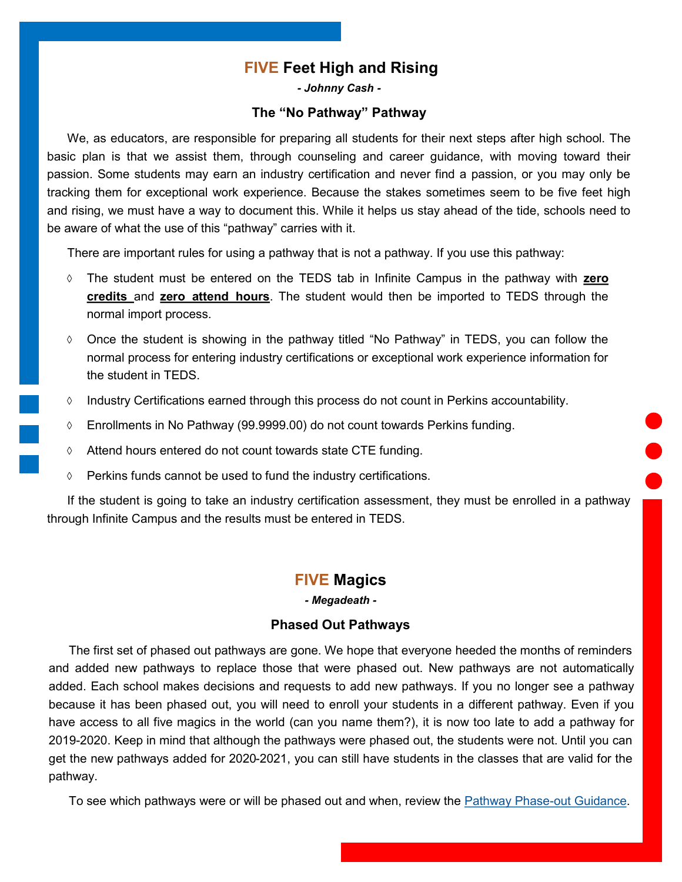## **FIVE Feet High and Rising**

*- Johnny Cash -*

#### **The "No Pathway" Pathway**

<span id="page-1-0"></span>We, as educators, are responsible for preparing all students for their next steps after high school. The basic plan is that we assist them, through counseling and career guidance, with moving toward their passion. Some students may earn an industry certification and never find a passion, or you may only be tracking them for exceptional work experience. Because the stakes sometimes seem to be five feet high and rising, we must have a way to document this. While it helps us stay ahead of the tide, schools need to be aware of what the use of this "pathway" carries with it.

There are important rules for using a pathway that is not a pathway. If you use this pathway:

- The student must be entered on the TEDS tab in Infinite Campus in the pathway with **zero credits** and **zero attend hours**. The student would then be imported to TEDS through the normal import process.
- Once the student is showing in the pathway titled "No Pathway" in TEDS, you can follow the normal process for entering industry certifications or exceptional work experience information for the student in TEDS.
- $\Diamond$  Industry Certifications earned through this process do not count in Perkins accountability.
- Enrollments in No Pathway (99.9999.00) do not count towards Perkins funding.
- $\Diamond$  Attend hours entered do not count towards state CTE funding.
- $\Diamond$  Perkins funds cannot be used to fund the industry certifications.

If the student is going to take an industry certification assessment, they must be enrolled in a pathway through Infinite Campus and the results must be entered in TEDS.

#### **FIVE Magics**

*- Megadeath -*

#### **Phased Out Pathways**

The first set of phased out pathways are gone. We hope that everyone heeded the months of reminders and added new pathways to replace those that were phased out. New pathways are not automatically added. Each school makes decisions and requests to add new pathways. If you no longer see a pathway because it has been phased out, you will need to enroll your students in a different pathway. Even if you have access to all five magics in the world (can you name them?), it is now too late to add a pathway for 2019-2020. Keep in mind that although the pathways were phased out, the students were not. Until you can get the new pathways added for 2020-2021, you can still have students in the classes that are valid for the pathway.

To see which pathways were or will be phased out and when, review the [Pathway Phase](https://education.ky.gov/CTE/ctepa/Documents/Pathway_Phaseout_Guidance.pdf)-out Guidance.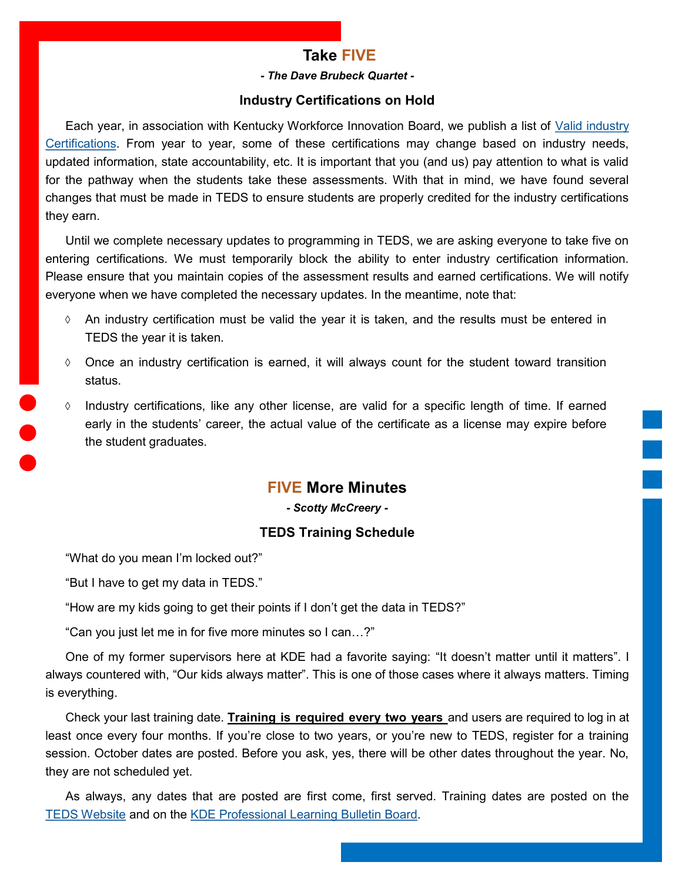## **Take FIVE**

#### *- The Dave Brubeck Quartet -*

#### **Industry Certifications on Hold**

<span id="page-2-0"></span>Each year, in association with Kentucky Workforce Innovation Board, we publish a list of [Valid industry](https://education.ky.gov/CTE/endofprog/Documents/19-20_Valid_Industry_Certification.xlsx)  [Certifications.](https://education.ky.gov/CTE/endofprog/Documents/19-20_Valid_Industry_Certification.xlsx) From year to year, some of these certifications may change based on industry needs, updated information, state accountability, etc. It is important that you (and us) pay attention to what is valid for the pathway when the students take these assessments. With that in mind, we have found several changes that must be made in TEDS to ensure students are properly credited for the industry certifications they earn.

Until we complete necessary updates to programming in TEDS, we are asking everyone to take five on entering certifications. We must temporarily block the ability to enter industry certification information. Please ensure that you maintain copies of the assessment results and earned certifications. We will notify everyone when we have completed the necessary updates. In the meantime, note that:

- $\Diamond$  An industry certification must be valid the year it is taken, and the results must be entered in TEDS the year it is taken.
- $\Diamond$  Once an industry certification is earned, it will always count for the student toward transition status.
- $\Diamond$  Industry certifications, like any other license, are valid for a specific length of time. If earned early in the students' career, the actual value of the certificate as a license may expire before the student graduates.

#### **FIVE More Minutes**

*- Scotty McCreery -*

#### **TEDS Training Schedule**

"What do you mean I'm locked out?"

"But I have to get my data in TEDS."

"How are my kids going to get their points if I don't get the data in TEDS?"

"Can you just let me in for five more minutes so I can…?"

One of my former supervisors here at KDE had a favorite saying: "It doesn't matter until it matters". I always countered with, "Our kids always matter". This is one of those cases where it always matters. Timing is everything.

Check your last training date. **Training is required every two years** and users are required to log in at least once every four months. If you're close to two years, or you're new to TEDS, register for a training session. October dates are posted. Before you ask, yes, there will be other dates throughout the year. No, they are not scheduled yet.

As always, any dates that are posted are first come, first served. Training dates are posted on the [TEDS Website](https://education.ky.gov/CTE/teds/Pages/default.aspx) and on the [KDE Professional Learning Bulletin Board.](https://applications.education.ky.gov/PLBB/Home/PLBBHome)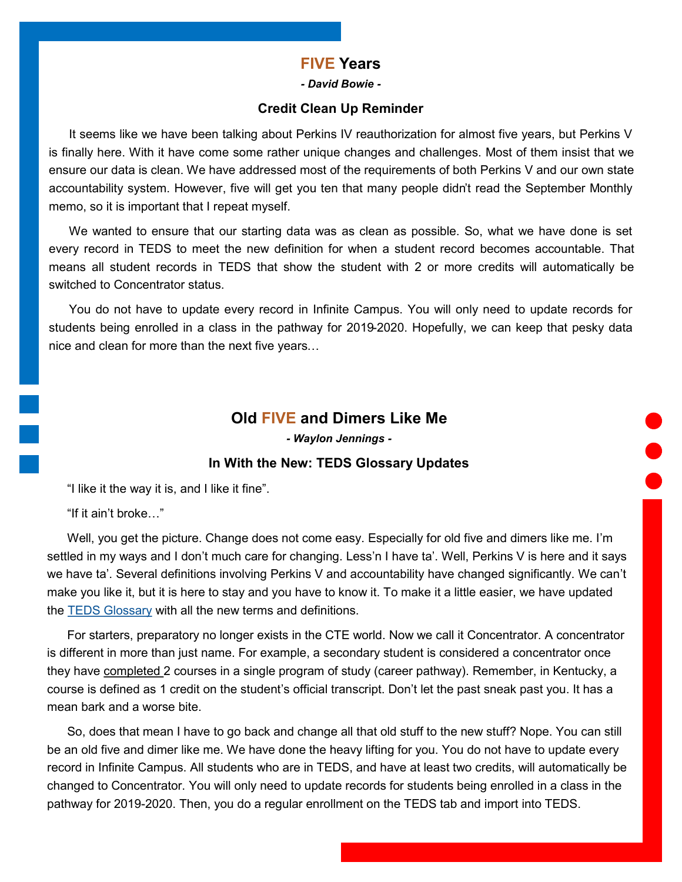#### **FIVE Years**

*- David Bowie -*

#### **Credit Clean Up Reminder**

<span id="page-3-0"></span>It seems like we have been talking about Perkins IV reauthorization for almost five years, but Perkins V is finally here. With it have come some rather unique changes and challenges. Most of them insist that we ensure our data is clean. We have addressed most of the requirements of both Perkins V and our own state accountability system. However, five will get you ten that many people didn't read the September Monthly memo, so it is important that I repeat myself.

We wanted to ensure that our starting data was as clean as possible. So, what we have done is set every record in TEDS to meet the new definition for when a student record becomes accountable. That means all student records in TEDS that show the student with 2 or more credits will automatically be switched to Concentrator status.

You do not have to update every record in Infinite Campus. You will only need to update records for students being enrolled in a class in the pathway for 2019-2020. Hopefully, we can keep that pesky data nice and clean for more than the next five years…

#### **Old FIVE and Dimers Like Me**

*- Waylon Jennings -*

#### **In With the New: TEDS Glossary Updates**

"I like it the way it is, and I like it fine".

"If it ain't broke…"

Well, you get the picture. Change does not come easy. Especially for old five and dimers like me. I'm settled in my ways and I don't much care for changing. Less'n I have ta'. Well, Perkins V is here and it says we have ta'. Several definitions involving Perkins V and accountability have changed significantly. We can't make you like it, but it is here to stay and you have to know it. To make it a little easier, we have updated the [TEDS Glossary](https://education.ky.gov/CTE/teds/Documents/TEDS_Glossary.pdf) with all the new terms and definitions.

For starters, preparatory no longer exists in the CTE world. Now we call it Concentrator. A concentrator is different in more than just name. For example, a secondary student is considered a concentrator once they have completed 2 courses in a single program of study (career pathway). Remember, in Kentucky, a course is defined as 1 credit on the student's official transcript. Don't let the past sneak past you. It has a mean bark and a worse bite.

So, does that mean I have to go back and change all that old stuff to the new stuff? Nope. You can still be an old five and dimer like me. We have done the heavy lifting for you. You do not have to update every record in Infinite Campus. All students who are in TEDS, and have at least two credits, will automatically be changed to Concentrator. You will only need to update records for students being enrolled in a class in the pathway for 2019-2020. Then, you do a regular enrollment on the TEDS tab and import into TEDS.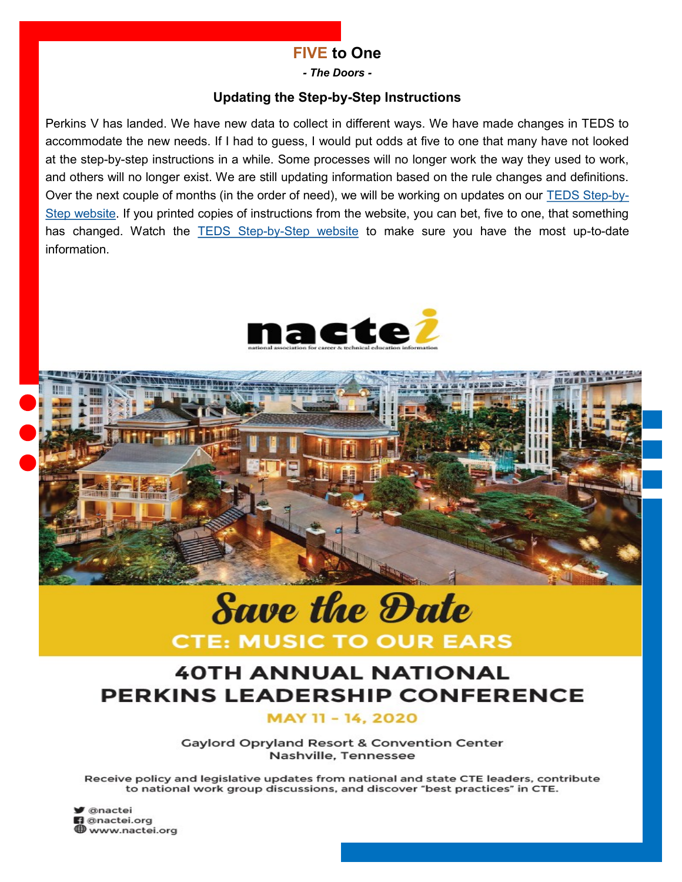# **FIVE to One**

*- The Doors -*

#### **Updating the Step-by-Step Instructions**

<span id="page-4-0"></span>Perkins V has landed. We have new data to collect in different ways. We have made changes in TEDS to accommodate the new needs. If I had to guess, I would put odds at five to one that many have not looked at the step-by-step instructions in a while. Some processes will no longer work the way they used to work, and others will no longer exist. We are still updating information based on the rule changes and definitions. Over the next couple of months (in the order of need), we will be working on updates on our [TEDS Step](https://education.ky.gov/CTE/teds/Pages/TEDSStepbyStep.aspx)-by-[Step website.](https://education.ky.gov/CTE/teds/Pages/TEDSStepbyStep.aspx) If you printed copies of instructions from the website, you can bet, five to one, that something has changed. Watch the **TEDS Step-by-[Step website](https://education.ky.gov/CTE/teds/Pages/TEDSStepbyStep.aspx)** to make sure you have the most up-to-date information.





# **Save the Date CTE: MUSIC TO OUR EARS**

# **40TH ANNUAL NATIONAL PERKINS LEADERSHIP CONFERENCE**

MAY 11 - 14, 2020

**Gaylord Opryland Resort & Convention Center** Nashville, Tennessee

Receive policy and legislative updates from national and state CTE leaders, contribute to national work group discussions, and discover "best practices" in CTE.

**S** @nactei **n** @nactei.org www.nactei.org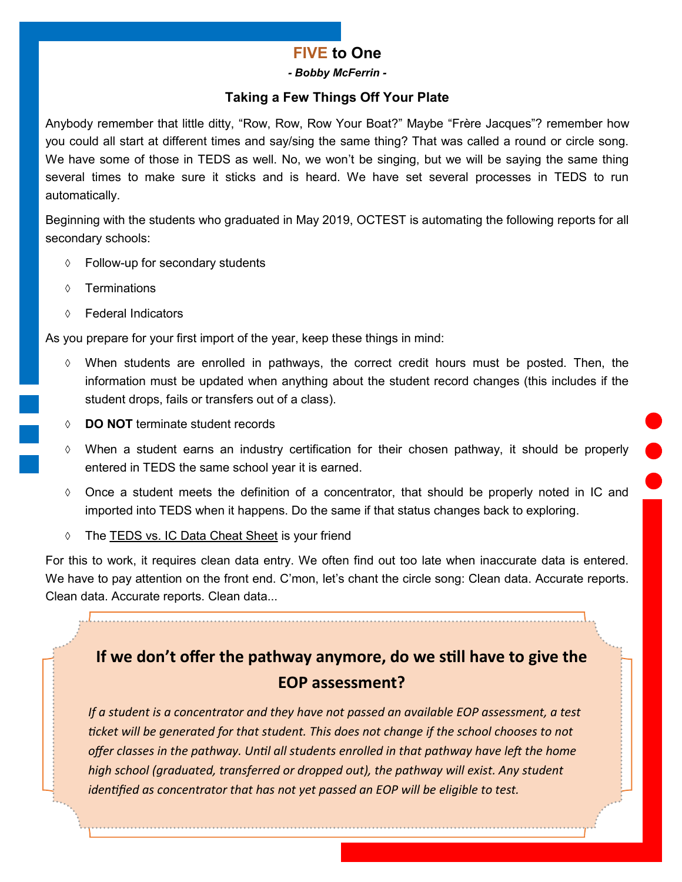# **FIVE to One**

*- Bobby McFerrin -*

#### **Taking a Few Things Off Your Plate**

<span id="page-5-0"></span>Anybody remember that little ditty, "Row, Row, Row Your Boat?" Maybe "Frère Jacques"? remember how you could all start at different times and say/sing the same thing? That was called a round or circle song. We have some of those in TEDS as well. No, we won't be singing, but we will be saying the same thing several times to make sure it sticks and is heard. We have set several processes in TEDS to run automatically.

Beginning with the students who graduated in May 2019, OCTEST is automating the following reports for all secondary schools:

- Follow-up for secondary students
- Terminations
- Federal Indicators

As you prepare for your first import of the year, keep these things in mind:

- $\Diamond$  When students are enrolled in pathways, the correct credit hours must be posted. Then, the information must be updated when anything about the student record changes (this includes if the student drops, fails or transfers out of a class).
- **DO NOT** terminate student records
- $\Diamond$  When a student earns an industry certification for their chosen pathway, it should be properly entered in TEDS the same school year it is earned.
- $\Diamond$  Once a student meets the definition of a concentrator, that should be properly noted in IC and imported into TEDS when it happens. Do the same if that status changes back to exploring.
- The [TEDS vs. IC Data Cheat Sheet](https://education.ky.gov/CTE/teds/Documents/TEDS-IC_CheatSheet.pdf) is your friend

For this to work, it requires clean data entry. We often find out too late when inaccurate data is entered. We have to pay attention on the front end. C'mon, let's chant the circle song: Clean data. Accurate reports. Clean data. Accurate reports. Clean data...

# **If we don't offer the pathway anymore, do we still have to give the EOP assessment?**

*If a student is a concentrator and they have not passed an available EOP assessment, a test ticket will be generated for that student. This does not change if the school chooses to not offer classes in the pathway. Until all students enrolled in that pathway have left the home high school (graduated, transferred or dropped out), the pathway will exist. Any student identified as concentrator that has not yet passed an EOP will be eligible to test.*